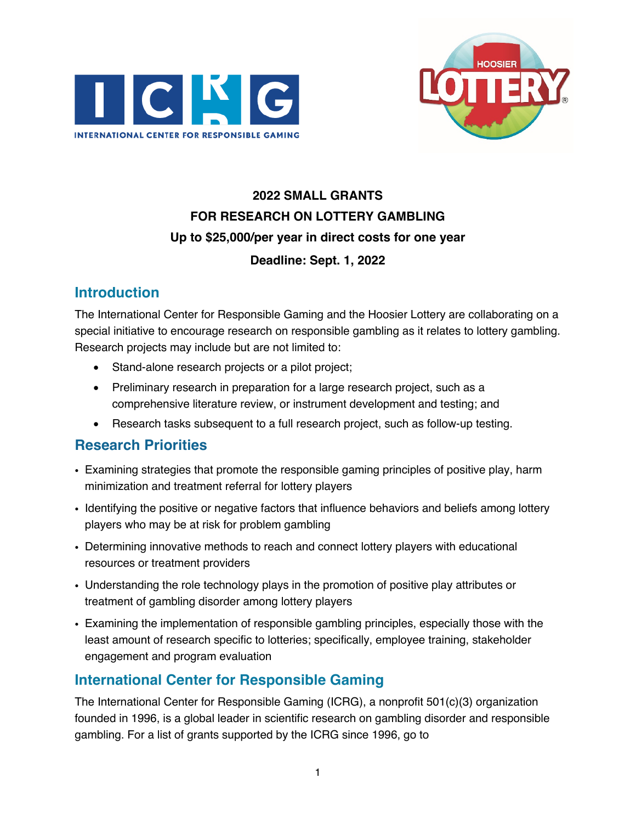



# **2022 SMALL GRANTS FOR RESEARCH ON LOTTERY GAMBLING Up to \$25,000/per year in direct costs for one year Deadline: Sept. 1, 2022**

## **Introduction**

The International Center for Responsible Gaming and the Hoosier Lottery are collaborating on a special initiative to encourage research on responsible gambling as it relates to lottery gambling. Research projects may include but are not limited to:

- Stand-alone research projects or a pilot project;
- Preliminary research in preparation for a large research project, such as a comprehensive literature review, or instrument development and testing; and
- Research tasks subsequent to a full research project, such as follow-up testing.

### **Research Priorities**

- ! Examining strategies that promote the responsible gaming principles of positive play, harm minimization and treatment referral for lottery players
- . Identifying the positive or negative factors that influence behaviors and beliefs among lottery players who may be at risk for problem gambling
- . Determining innovative methods to reach and connect lottery players with educational resources or treatment providers
- ! Understanding the role technology plays in the promotion of positive play attributes or treatment of gambling disorder among lottery players
- ! Examining the implementation of responsible gambling principles, especially those with the least amount of research specific to lotteries; specifically, employee training, stakeholder engagement and program evaluation

## **International Center for Responsible Gaming**

The International Center for Responsible Gaming (ICRG), a nonprofit 501(c)(3) organization founded in 1996, is a global leader in scientific research on gambling disorder and responsible gambling. For a list of grants supported by the ICRG since 1996, go to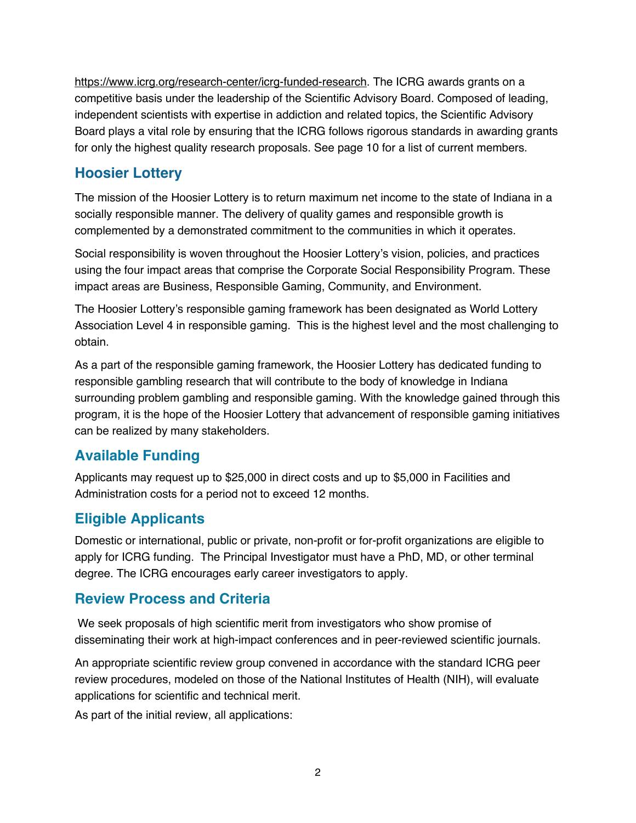https://www.icrg.org/research-center/icrg-funded-research. The ICRG awards grants on a competitive basis under the leadership of the Scientific Advisory Board. Composed of leading, independent scientists with expertise in addiction and related topics, the Scientific Advisory Board plays a vital role by ensuring that the ICRG follows rigorous standards in awarding grants for only the highest quality research proposals. See page 10 for a list of current members.

### **Hoosier Lottery**

The mission of the Hoosier Lottery is to return maximum net income to the state of Indiana in a socially responsible manner. The delivery of quality games and responsible growth is complemented by a demonstrated commitment to the communities in which it operates.

Social responsibility is woven throughout the Hoosier Lottery's vision, policies, and practices using the four impact areas that comprise the Corporate Social Responsibility Program. These impact areas are Business, Responsible Gaming, Community, and Environment.

The Hoosier Lottery's responsible gaming framework has been designated as World Lottery Association Level 4 in responsible gaming. This is the highest level and the most challenging to obtain.

As a part of the responsible gaming framework, the Hoosier Lottery has dedicated funding to responsible gambling research that will contribute to the body of knowledge in Indiana surrounding problem gambling and responsible gaming. With the knowledge gained through this program, it is the hope of the Hoosier Lottery that advancement of responsible gaming initiatives can be realized by many stakeholders.

## **Available Funding**

Applicants may request up to \$25,000 in direct costs and up to \$5,000 in Facilities and Administration costs for a period not to exceed 12 months.

## **Eligible Applicants**

Domestic or international, public or private, non-profit or for-profit organizations are eligible to apply for ICRG funding. The Principal Investigator must have a PhD, MD, or other terminal degree. The ICRG encourages early career investigators to apply.

### **Review Process and Criteria**

We seek proposals of high scientific merit from investigators who show promise of disseminating their work at high-impact conferences and in peer-reviewed scientific journals.

An appropriate scientific review group convened in accordance with the standard ICRG peer review procedures, modeled on those of the National Institutes of Health (NIH), will evaluate applications for scientific and technical merit.

As part of the initial review, all applications: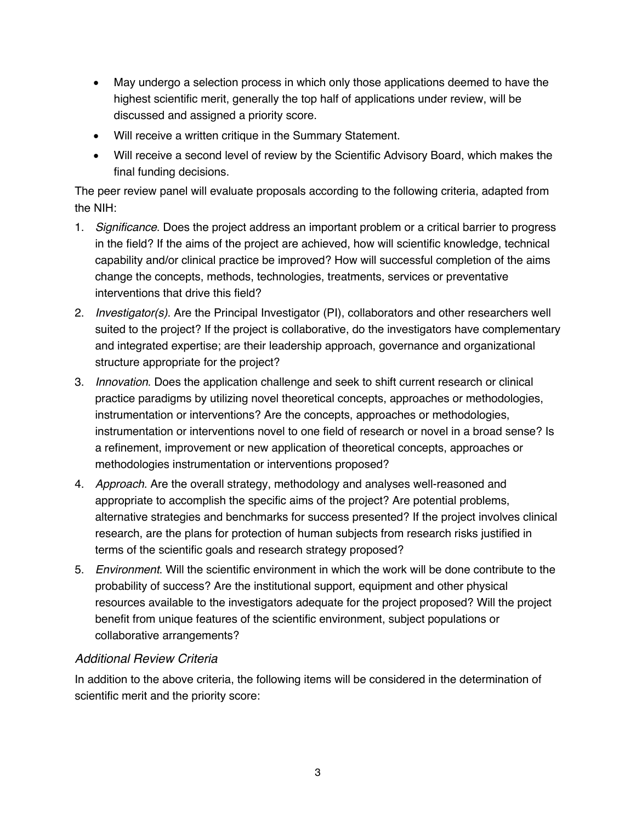- May undergo a selection process in which only those applications deemed to have the highest scientific merit, generally the top half of applications under review, will be discussed and assigned a priority score.
- Will receive a written critique in the Summary Statement.
- Will receive a second level of review by the Scientific Advisory Board, which makes the final funding decisions.

The peer review panel will evaluate proposals according to the following criteria, adapted from the NIH:

- 1. *Significance*. Does the project address an important problem or a critical barrier to progress in the field? If the aims of the project are achieved, how will scientific knowledge, technical capability and/or clinical practice be improved? How will successful completion of the aims change the concepts, methods, technologies, treatments, services or preventative interventions that drive this field?
- 2. *Investigator(s)*. Are the Principal Investigator (PI), collaborators and other researchers well suited to the project? If the project is collaborative, do the investigators have complementary and integrated expertise; are their leadership approach, governance and organizational structure appropriate for the project?
- 3. *Innovation*. Does the application challenge and seek to shift current research or clinical practice paradigms by utilizing novel theoretical concepts, approaches or methodologies, instrumentation or interventions? Are the concepts, approaches or methodologies, instrumentation or interventions novel to one field of research or novel in a broad sense? Is a refinement, improvement or new application of theoretical concepts, approaches or methodologies instrumentation or interventions proposed?
- 4. *Approach*. Are the overall strategy, methodology and analyses well-reasoned and appropriate to accomplish the specific aims of the project? Are potential problems, alternative strategies and benchmarks for success presented? If the project involves clinical research, are the plans for protection of human subjects from research risks justified in terms of the scientific goals and research strategy proposed?
- 5. *Environment*. Will the scientific environment in which the work will be done contribute to the probability of success? Are the institutional support, equipment and other physical resources available to the investigators adequate for the project proposed? Will the project benefit from unique features of the scientific environment, subject populations or collaborative arrangements?

#### *Additional Review Criteria*

In addition to the above criteria, the following items will be considered in the determination of scientific merit and the priority score: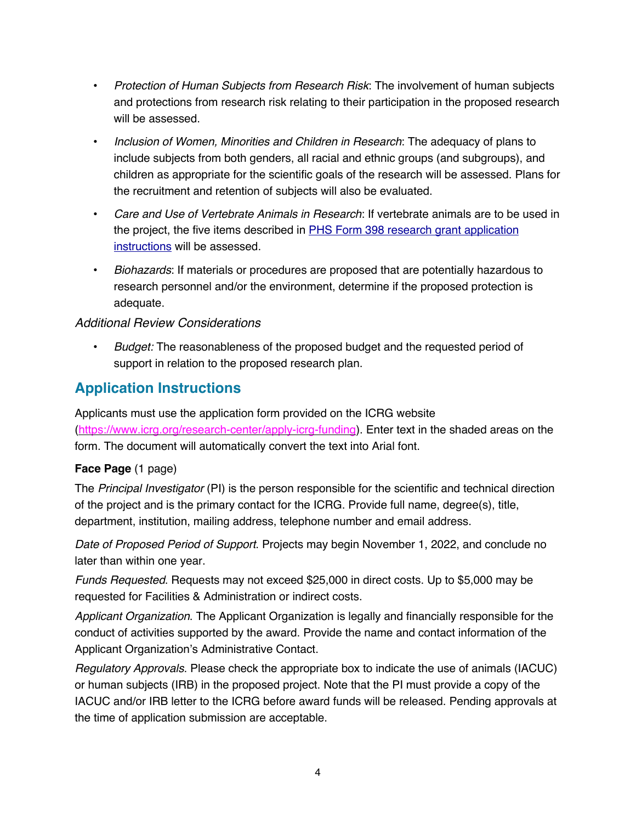- ! *Protection of Human Subjects from Research Risk*: The involvement of human subjects and protections from research risk relating to their participation in the proposed research will be assessed.
- ! *Inclusion of Women, Minorities and Children in Research*: The adequacy of plans to include subjects from both genders, all racial and ethnic groups (and subgroups), and children as appropriate for the scientific goals of the research will be assessed. Plans for the recruitment and retention of subjects will also be evaluated.
- ! *Care and Use of Vertebrate Animals in Research*: If vertebrate animals are to be used in the project, the five items described in PHS Form 398 research grant application instructions will be assessed.
- ! *Biohazards*: If materials or procedures are proposed that are potentially hazardous to research personnel and/or the environment, determine if the proposed protection is adequate.

#### *Additional Review Considerations*

! *Budget:* The reasonableness of the proposed budget and the requested period of support in relation to the proposed research plan.

### **Application Instructions**

Applicants must use the application form provided on the ICRG website (https://www.icrg.org/research-center/apply-icrg-funding). Enter text in the shaded areas on the form. The document will automatically convert the text into Arial font.

#### **Face Page** (1 page)

The *Principal Investigator* (PI) is the person responsible for the scientific and technical direction of the project and is the primary contact for the ICRG. Provide full name, degree(s), title, department, institution, mailing address, telephone number and email address.

*Date of Proposed Period of Support*. Projects may begin November 1, 2022, and conclude no later than within one year.

*Funds Requested*. Requests may not exceed \$25,000 in direct costs. Up to \$5,000 may be requested for Facilities & Administration or indirect costs.

*Applicant Organization*. The Applicant Organization is legally and financially responsible for the conduct of activities supported by the award. Provide the name and contact information of the Applicant Organization's Administrative Contact.

*Regulatory Approvals*. Please check the appropriate box to indicate the use of animals (IACUC) or human subjects (IRB) in the proposed project. Note that the PI must provide a copy of the IACUC and/or IRB letter to the ICRG before award funds will be released. Pending approvals at the time of application submission are acceptable.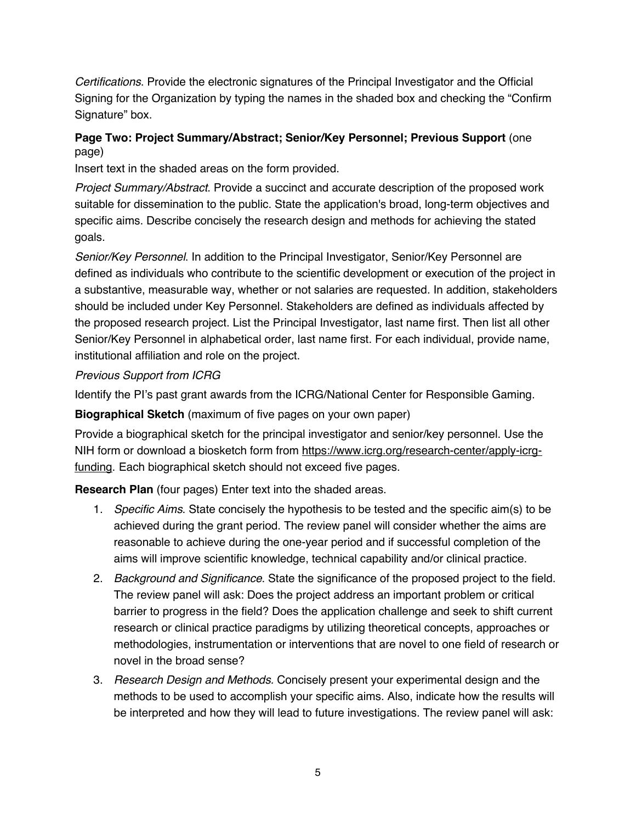*Certifications*. Provide the electronic signatures of the Principal Investigator and the Official Signing for the Organization by typing the names in the shaded box and checking the "Confirm Signature" box.

#### **Page Two: Project Summary/Abstract; Senior/Key Personnel; Previous Support** (one page)

Insert text in the shaded areas on the form provided.

*Project Summary/Abstract*. Provide a succinct and accurate description of the proposed work suitable for dissemination to the public. State the application's broad, long-term objectives and specific aims. Describe concisely the research design and methods for achieving the stated goals.

*Senior/Key Personnel*. In addition to the Principal Investigator, Senior/Key Personnel are defined as individuals who contribute to the scientific development or execution of the project in a substantive, measurable way, whether or not salaries are requested. In addition, stakeholders should be included under Key Personnel. Stakeholders are defined as individuals affected by the proposed research project. List the Principal Investigator, last name first. Then list all other Senior/Key Personnel in alphabetical order, last name first. For each individual, provide name, institutional affiliation and role on the project.

#### *Previous Support from ICRG*

Identify the PI's past grant awards from the ICRG/National Center for Responsible Gaming.

**Biographical Sketch** (maximum of five pages on your own paper)

Provide a biographical sketch for the principal investigator and senior/key personnel. Use the NIH form or download a biosketch form from https://www.icrg.org/research-center/apply-icrgfunding. Each biographical sketch should not exceed five pages.

**Research Plan** (four pages) Enter text into the shaded areas.

- 1. *Specific Aims*. State concisely the hypothesis to be tested and the specific aim(s) to be achieved during the grant period. The review panel will consider whether the aims are reasonable to achieve during the one-year period and if successful completion of the aims will improve scientific knowledge, technical capability and/or clinical practice.
- 2. *Background and Significance*. State the significance of the proposed project to the field. The review panel will ask: Does the project address an important problem or critical barrier to progress in the field? Does the application challenge and seek to shift current research or clinical practice paradigms by utilizing theoretical concepts, approaches or methodologies, instrumentation or interventions that are novel to one field of research or novel in the broad sense?
- 3. *Research Design and Methods.* Concisely present your experimental design and the methods to be used to accomplish your specific aims. Also, indicate how the results will be interpreted and how they will lead to future investigations. The review panel will ask: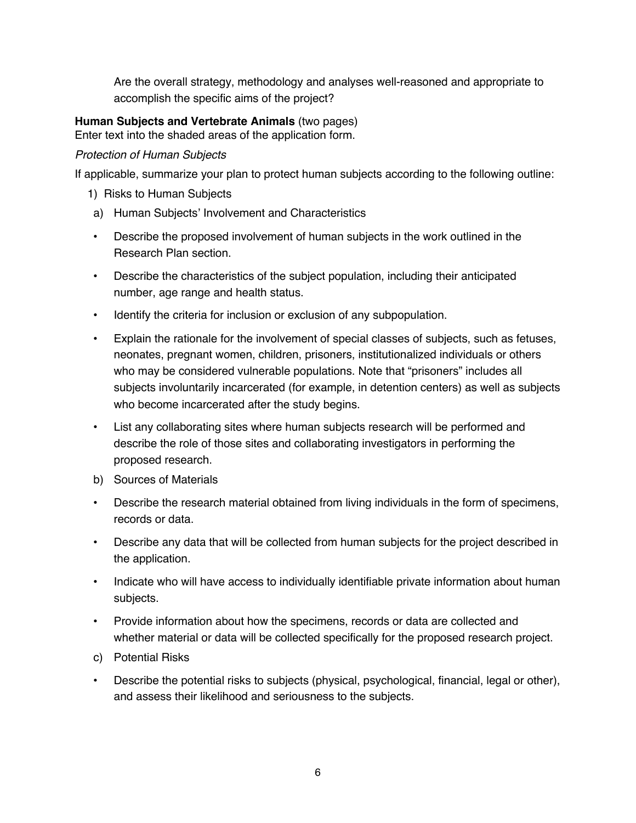Are the overall strategy, methodology and analyses well-reasoned and appropriate to accomplish the specific aims of the project?

#### **Human Subjects and Vertebrate Animals** (two pages)

Enter text into the shaded areas of the application form.

#### *Protection of Human Subjects*

If applicable, summarize your plan to protect human subjects according to the following outline:

- 1) Risks to Human Subjects
- a) Human Subjects' Involvement and Characteristics
- ! Describe the proposed involvement of human subjects in the work outlined in the Research Plan section.
- ! Describe the characteristics of the subject population, including their anticipated number, age range and health status.
- . Identify the criteria for inclusion or exclusion of any subpopulation.
- ! Explain the rationale for the involvement of special classes of subjects, such as fetuses, neonates, pregnant women, children, prisoners, institutionalized individuals or others who may be considered vulnerable populations. Note that "prisoners" includes all subjects involuntarily incarcerated (for example, in detention centers) as well as subjects who become incarcerated after the study begins.
- ! List any collaborating sites where human subjects research will be performed and describe the role of those sites and collaborating investigators in performing the proposed research.
- b) Sources of Materials
- ! Describe the research material obtained from living individuals in the form of specimens, records or data.
- ! Describe any data that will be collected from human subjects for the project described in the application.
- . Indicate who will have access to individually identifiable private information about human subjects.
- ! Provide information about how the specimens, records or data are collected and whether material or data will be collected specifically for the proposed research project.
- c) Potential Risks
- ! Describe the potential risks to subjects (physical, psychological, financial, legal or other), and assess their likelihood and seriousness to the subjects.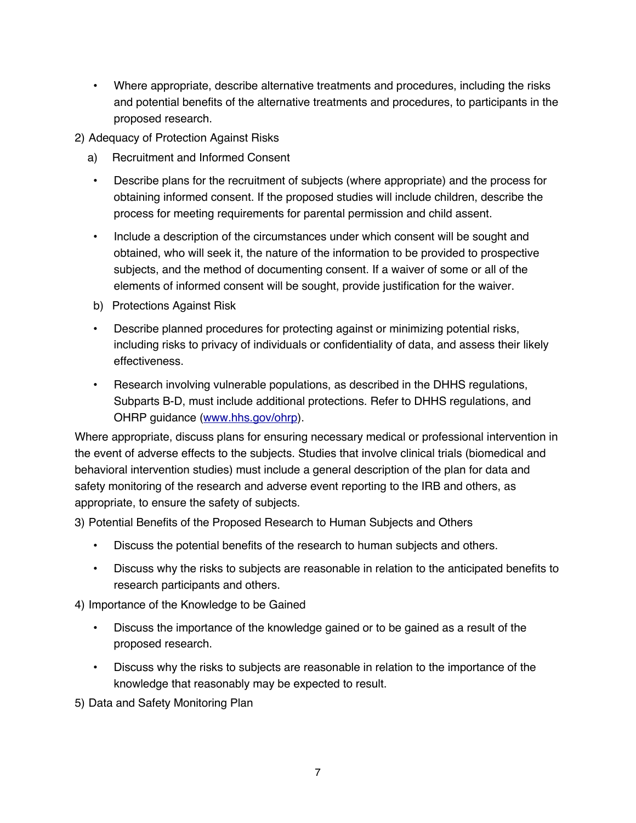- ! Where appropriate, describe alternative treatments and procedures, including the risks and potential benefits of the alternative treatments and procedures, to participants in the proposed research.
- 2) Adequacy of Protection Against Risks
	- a) Recruitment and Informed Consent
		- ! Describe plans for the recruitment of subjects (where appropriate) and the process for obtaining informed consent. If the proposed studies will include children, describe the process for meeting requirements for parental permission and child assent.
	- ! Include a description of the circumstances under which consent will be sought and obtained, who will seek it, the nature of the information to be provided to prospective subjects, and the method of documenting consent. If a waiver of some or all of the elements of informed consent will be sought, provide justification for the waiver.
	- b) Protections Against Risk
	- ! Describe planned procedures for protecting against or minimizing potential risks, including risks to privacy of individuals or confidentiality of data, and assess their likely effectiveness.
	- ! Research involving vulnerable populations, as described in the DHHS regulations, Subparts B-D, must include additional protections. Refer to DHHS regulations, and OHRP guidance (www.hhs.gov/ohrp).

Where appropriate, discuss plans for ensuring necessary medical or professional intervention in the event of adverse effects to the subjects. Studies that involve clinical trials (biomedical and behavioral intervention studies) must include a general description of the plan for data and safety monitoring of the research and adverse event reporting to the IRB and others, as appropriate, to ensure the safety of subjects.

3) Potential Benefits of the Proposed Research to Human Subjects and Others

- ! Discuss the potential benefits of the research to human subjects and others.
- ! Discuss why the risks to subjects are reasonable in relation to the anticipated benefits to research participants and others.

4) Importance of the Knowledge to be Gained

- Discuss the importance of the knowledge gained or to be gained as a result of the proposed research.
- Discuss why the risks to subjects are reasonable in relation to the importance of the knowledge that reasonably may be expected to result.

5) Data and Safety Monitoring Plan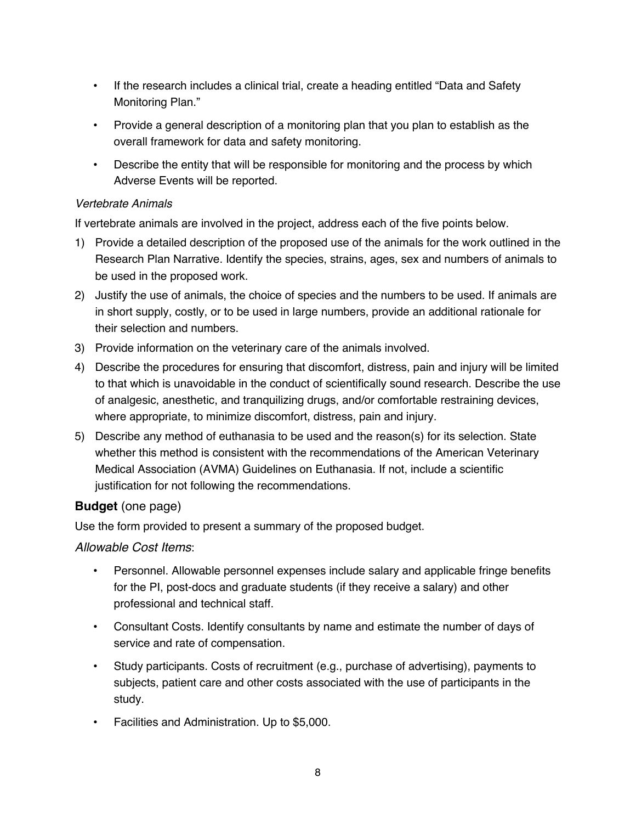- . If the research includes a clinical trial, create a heading entitled "Data and Safety Monitoring Plan."
- ! Provide a general description of a monitoring plan that you plan to establish as the overall framework for data and safety monitoring.
- . Describe the entity that will be responsible for monitoring and the process by which Adverse Events will be reported.

#### *Vertebrate Animals*

If vertebrate animals are involved in the project, address each of the five points below.

- 1) Provide a detailed description of the proposed use of the animals for the work outlined in the Research Plan Narrative. Identify the species, strains, ages, sex and numbers of animals to be used in the proposed work.
- 2) Justify the use of animals, the choice of species and the numbers to be used. If animals are in short supply, costly, or to be used in large numbers, provide an additional rationale for their selection and numbers.
- 3) Provide information on the veterinary care of the animals involved.
- 4) Describe the procedures for ensuring that discomfort, distress, pain and injury will be limited to that which is unavoidable in the conduct of scientifically sound research. Describe the use of analgesic, anesthetic, and tranquilizing drugs, and/or comfortable restraining devices, where appropriate, to minimize discomfort, distress, pain and injury.
- 5) Describe any method of euthanasia to be used and the reason(s) for its selection. State whether this method is consistent with the recommendations of the American Veterinary Medical Association (AVMA) Guidelines on Euthanasia. If not, include a scientific justification for not following the recommendations.

#### **Budget** (one page)

Use the form provided to present a summary of the proposed budget.

#### *Allowable Cost Items*:

- ! Personnel. Allowable personnel expenses include salary and applicable fringe benefits for the PI, post-docs and graduate students (if they receive a salary) and other professional and technical staff.
- ! Consultant Costs. Identify consultants by name and estimate the number of days of service and rate of compensation.
- ! Study participants. Costs of recruitment (e.g., purchase of advertising), payments to subjects, patient care and other costs associated with the use of participants in the study.
- Facilities and Administration. Up to \$5,000.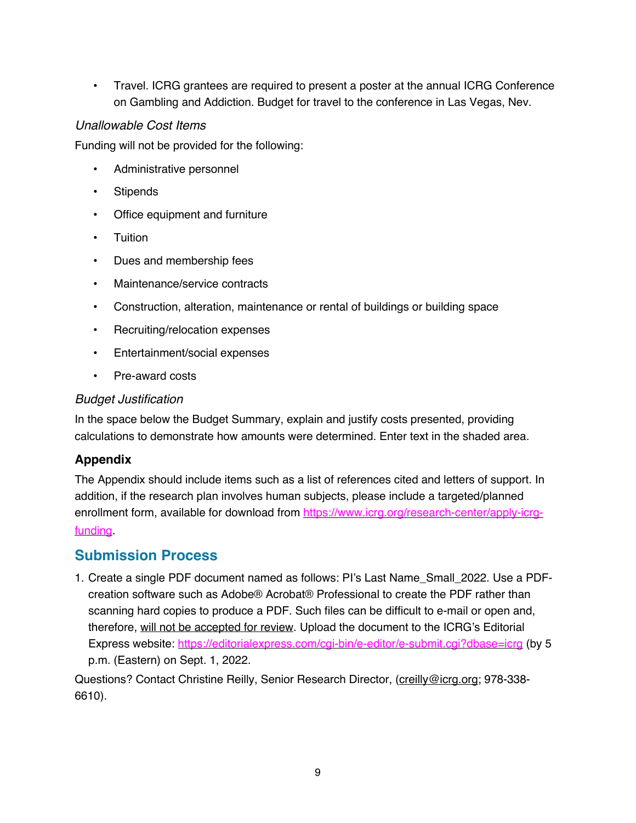• Travel. ICRG grantees are required to present a poster at the annual ICRG Conference on Gambling and Addiction. Budget for travel to the conference in Las Vegas, Nev.

#### *Unallowable Cost Items*

Funding will not be provided for the following:

- Administrative personnel
- Stipends
- Office equipment and furniture
- Tuition
- Dues and membership fees
- . Maintenance/service contracts
- ! Construction, alteration, maintenance or rental of buildings or building space
- Recruiting/relocation expenses
- Entertainment/social expenses
- Pre-award costs

#### *Budget Justification*

In the space below the Budget Summary, explain and justify costs presented, providing calculations to demonstrate how amounts were determined. Enter text in the shaded area.

#### **Appendix**

The Appendix should include items such as a list of references cited and letters of support. In addition, if the research plan involves human subjects, please include a targeted/planned enrollment form, available for download from https://www.icrg.org/research-center/apply-icrgfunding.

### **Submission Process**

1. Create a single PDF document named as follows: PI's Last Name\_Small\_2022. Use a PDFcreation software such as Adobe® Acrobat® Professional to create the PDF rather than scanning hard copies to produce a PDF. Such files can be difficult to e-mail or open and, therefore, will not be accepted for review. Upload the document to the ICRG's Editorial Express website: https://editorialexpress.com/cgi-bin/e-editor/e-submit.cgi?dbase=icrg (by 5 p.m. (Eastern) on Sept. 1, 2022.

Questions? Contact Christine Reilly, Senior Research Director, (creilly@icrg.org; 978-338-6610).